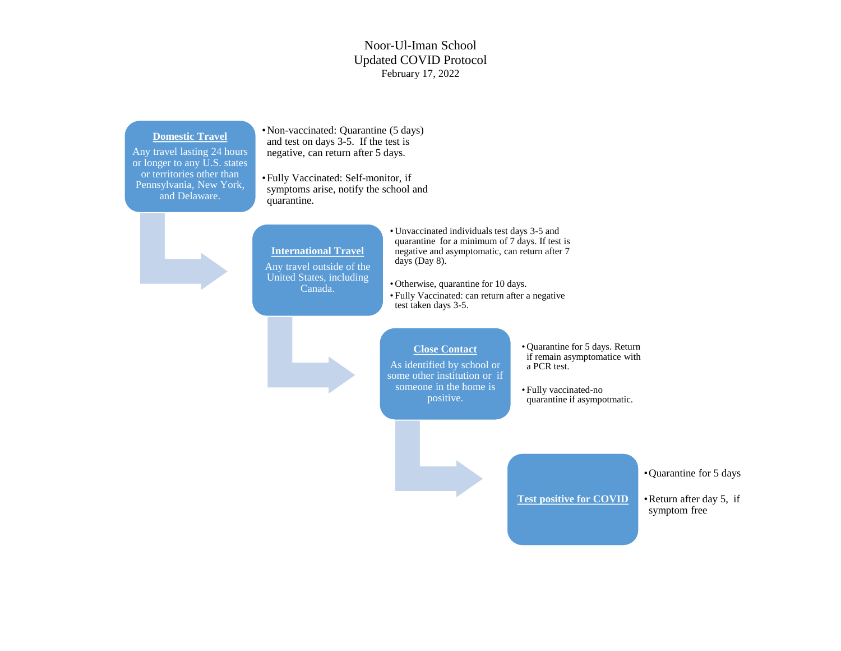## Noor-Ul-Iman School Updated COVID Protocol February 17, 2022

### **Domestic Travel**

Any travel lasting 24 hours or longer to any U.S. states or territories other than Pennsylvania, New York, and Delaware.

•Non-vaccinated: Quarantine (5 days) and test on days 3-5. If the test is negative, can return after 5 days.

•Fully Vaccinated: Self-monitor, if symptoms arise, notify the school and quarantine.



**International Travel**  Any travel outside of the

United States, including Canada.

• Unvaccinated individuals test days 3-5 and quarantine for a minimum of 7 days. If test is negative and asymptomatic, can return after 7 days (Day 8).

• Otherwise, quarantine for 10 days.

• Fully Vaccinated: can return after a negative test taken days 3-5.

# **Close Contact**

As identified by school or some other institution or if someone in the home is positive.

- Quarantine for 5 days. Return if remain asymptomatice with a PCR test.
- Fully vaccinated-no quarantine if asympotmatic.

#### •Quarantine for 5 days

**Test positive for COVID**

•Return after day 5, if symptom free